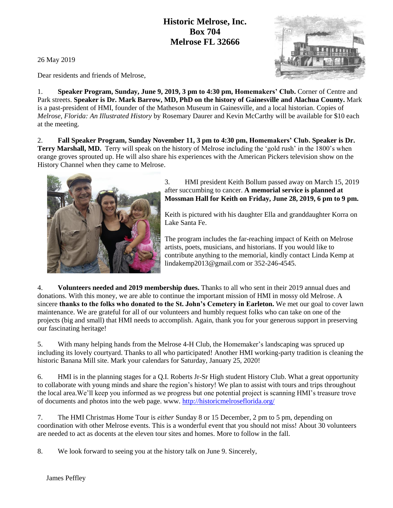## **Historic Melrose, Inc. Box 704 Melrose FL 32666**



Dear residents and friends of Melrose,

1. **Speaker Program, Sunday, June 9, 2019, 3 pm to 4:30 pm, Homemakers' Club.** Corner of Centre and Park streets. **Speaker is Dr. Mark Barrow, MD, PhD on the history of Gainesville and Alachua County.** Mark is a past-president of HMI, founder of the Matheson Museum in Gainesville, and a local historian. Copies of *Melrose, Florida: An Illustrated History* by Rosemary Daurer and Kevin McCarthy will be available for \$10 each at the meeting.

2. **Fall Speaker Program, Sunday November 11, 3 pm to 4:30 pm, Homemakers' Club. Speaker is Dr. Terry Marshall, MD.** Terry will speak on the history of Melrose including the 'gold rush' in the 1800's when orange groves sprouted up. He will also share his experiences with the American Pickers television show on the History Channel when they came to Melrose.



3. HMI president Keith Bollum passed away on March 15, 2019 after succumbing to cancer. **A memorial service is planned at Mossman Hall for Keith on Friday, June 28, 2019, 6 pm to 9 pm.**

Keith is pictured with his daughter Ella and granddaughter Korra on Lake Santa Fe.

The program includes the far-reaching impact of Keith on Melrose artists, poets, musicians, and historians. If you would like to contribute anything to the memorial, kindly contact Linda Kemp at lindakemp2013@gmail.com or 352-246-4545.

4. **Volunteers needed and 2019 membership dues.** Thanks to all who sent in their 2019 annual dues and donations. With this money, we are able to continue the important mission of HMI in mossy old Melrose. A sincere **thanks to the folks who donated to the St. John's Cemetery in Earleton.** We met our goal to cover lawn maintenance. We are grateful for all of our volunteers and humbly request folks who can take on one of the projects (big and small) that HMI needs to accomplish. Again, thank you for your generous support in preserving our fascinating heritage!

5. With many helping hands from the Melrose 4-H Club, the Homemaker's landscaping was spruced up including its lovely courtyard. Thanks to all who participated! Another HMI working-party tradition is cleaning the historic Banana Mill site. Mark your calendars for Saturday, January 25, 2020!

6. HMI is in the planning stages for a Q.I. Roberts Jr-Sr High student History Club. What a great opportunity to collaborate with young minds and share the region's history! We plan to assist with tours and trips throughout the local area.We'll keep you informed as we progress but one potential project is scanning HMI's treasure trove of documents and photos into the web page. www.<http://historicmelroseflorida.org/>

7. The HMI Christmas Home Tour is *either* Sunday 8 or 15 December, 2 pm to 5 pm, depending on coordination with other Melrose events. This is a wonderful event that you should not miss! About 30 volunteers are needed to act as docents at the eleven tour sites and homes. More to follow in the fall.

8. We look forward to seeing you at the history talk on June 9. Sincerely,